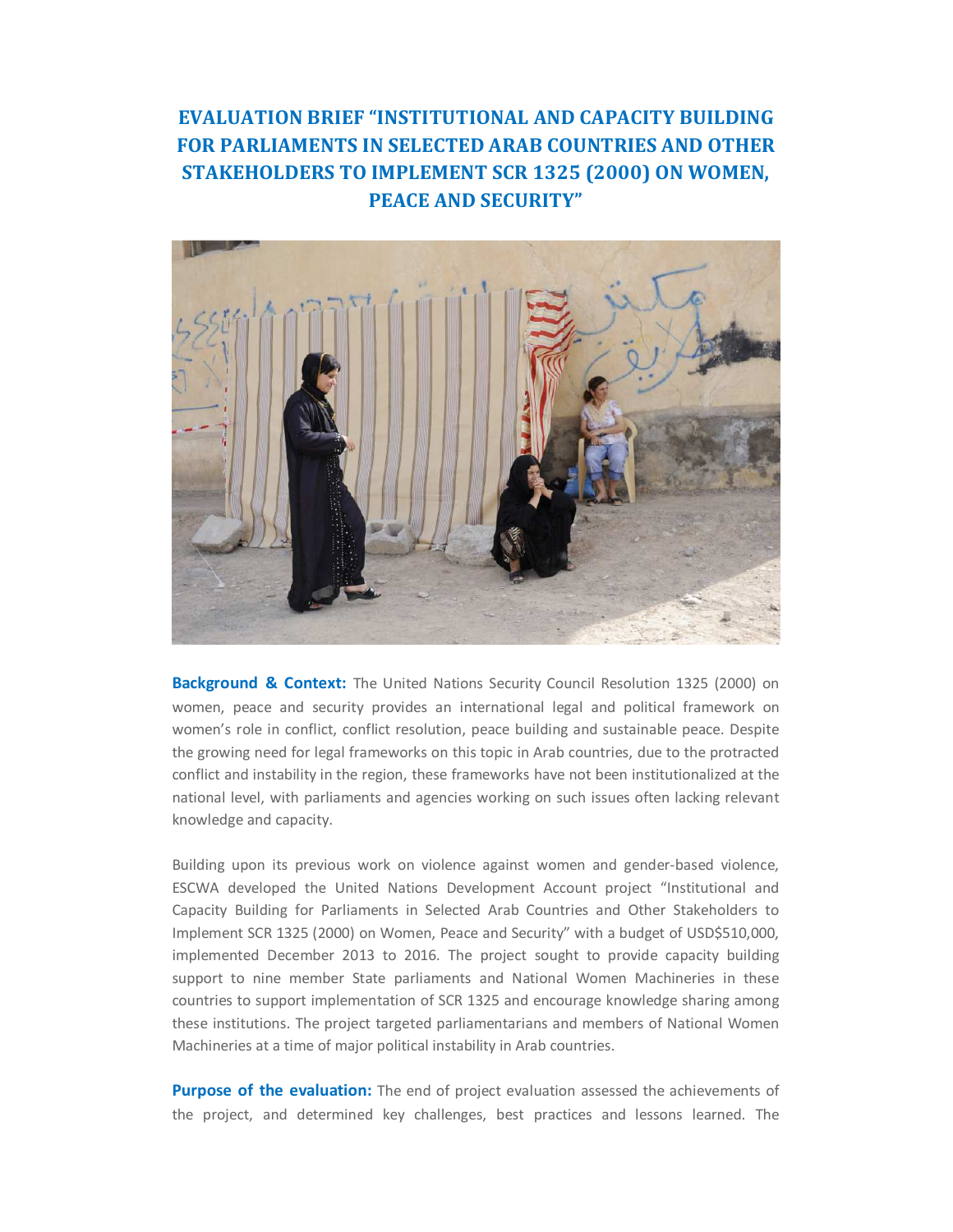## **EVALUATION BRIEF "INSTITUTIONAL AND CAPACITY BUILDING FOR PARLIAMENTS IN SELECTED ARAB COUNTRIES AND OTHER STAKEHOLDERS TO IMPLEMENT SCR 1325 (2000) ON WOMEN, PEACE AND SECURITY"**



**Background & Context:** The United Nations Security Council Resolution 1325 (2000) on women, peace and security provides an international legal and political framework on women's role in conflict, conflict resolution, peace building and sustainable peace. Despite the growing need for legal frameworks on this topic in Arab countries, due to the protracted conflict and instability in the region, these frameworks have not been institutionalized at the national level, with parliaments and agencies working on such issues often lacking relevant knowledge and capacity.

Building upon its previous work on violence against women and gender-based violence, ESCWA developed the United Nations Development Account project "Institutional and Capacity Building for Parliaments in Selected Arab Countries and Other Stakeholders to Implement SCR 1325 (2000) on Women, Peace and Security" with a budget of USD\$510,000, implemented December 2013 to 2016. The project sought to provide capacity building support to nine member State parliaments and National Women Machineries in these countries to support implementation of SCR 1325 and encourage knowledge sharing among these institutions. The project targeted parliamentarians and members of National Women Machineries at a time of major political instability in Arab countries.

**Purpose of the evaluation:** The end of project evaluation assessed the achievements of the project, and determined key challenges, best practices and lessons learned. The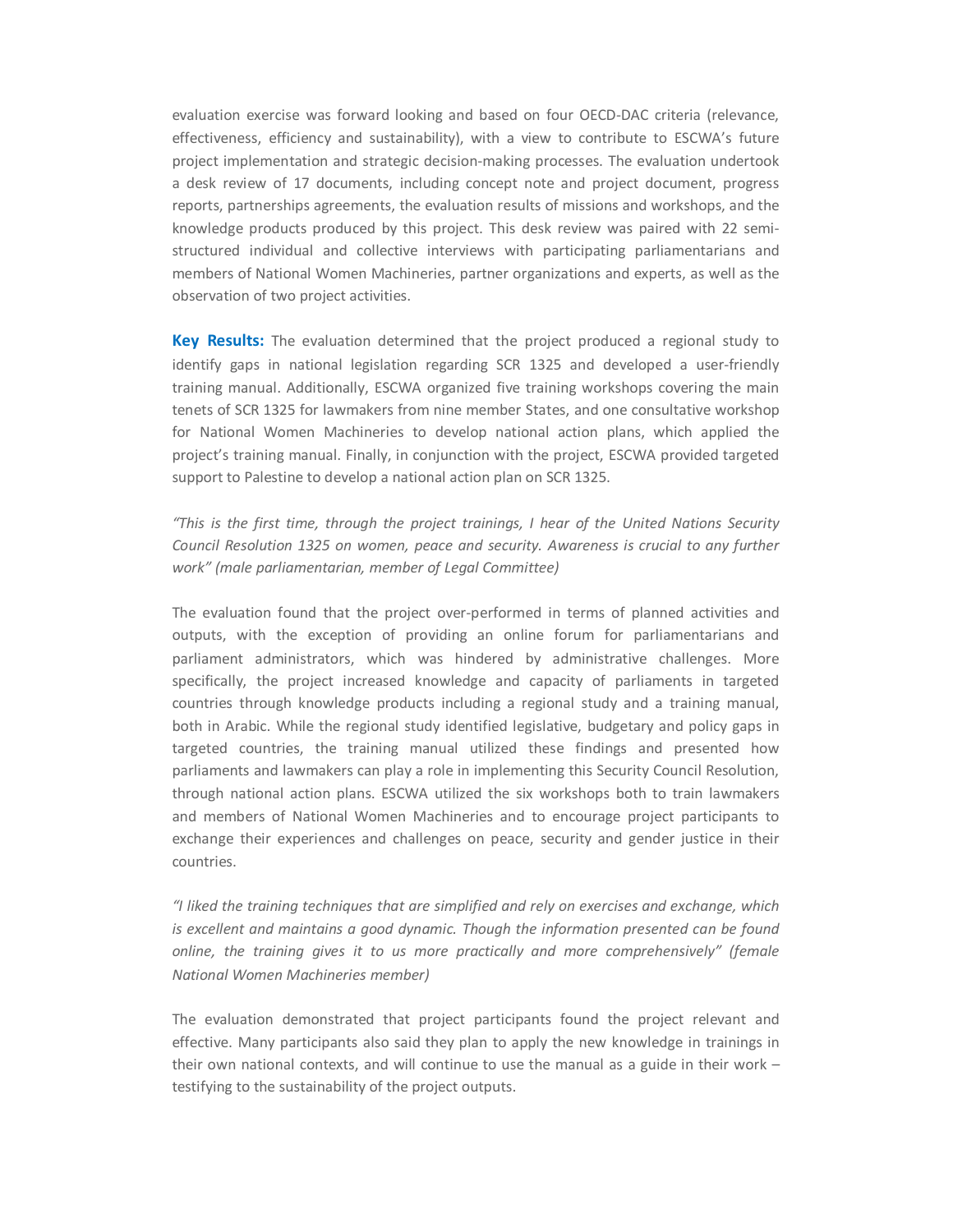evaluation exercise was forward looking and based on four OECD-DAC criteria (relevance, effectiveness, efficiency and sustainability), with a view to contribute to ESCWA's future project implementation and strategic decision-making processes. The evaluation undertook a desk review of 17 documents, including concept note and project document, progress reports, partnerships agreements, the evaluation results of missions and workshops, and the knowledge products produced by this project. This desk review was paired with 22 semistructured individual and collective interviews with participating parliamentarians and members of National Women Machineries, partner organizations and experts, as well as the observation of two project activities.

**Key Results:** The evaluation determined that the project produced a regional study to identify gaps in national legislation regarding SCR 1325 and developed a user-friendly training manual. Additionally, ESCWA organized five training workshops covering the main tenets of SCR 1325 for lawmakers from nine member States, and one consultative workshop for National Women Machineries to develop national action plans, which applied the project's training manual. Finally, in conjunction with the project, ESCWA provided targeted support to Palestine to develop a national action plan on SCR 1325.

*"This is the first time, through the project trainings, I hear of the United Nations Security Council Resolution 1325 on women, peace and security. Awareness is crucial to any further work" (male parliamentarian, member of Legal Committee)* 

The evaluation found that the project over-performed in terms of planned activities and outputs, with the exception of providing an online forum for parliamentarians and parliament administrators, which was hindered by administrative challenges. More specifically, the project increased knowledge and capacity of parliaments in targeted countries through knowledge products including a regional study and a training manual, both in Arabic. While the regional study identified legislative, budgetary and policy gaps in targeted countries, the training manual utilized these findings and presented how parliaments and lawmakers can play a role in implementing this Security Council Resolution, through national action plans. ESCWA utilized the six workshops both to train lawmakers and members of National Women Machineries and to encourage project participants to exchange their experiences and challenges on peace, security and gender justice in their countries.

*"I liked the training techniques that are simplified and rely on exercises and exchange, which is excellent and maintains a good dynamic. Though the information presented can be found online, the training gives it to us more practically and more comprehensively" (female National Women Machineries member)* 

The evaluation demonstrated that project participants found the project relevant and effective. Many participants also said they plan to apply the new knowledge in trainings in their own national contexts, and will continue to use the manual as a guide in their work – testifying to the sustainability of the project outputs.